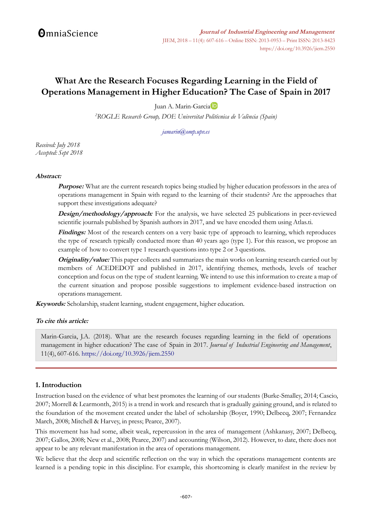# **What Are the Research Focuses Regarding Learning in the Field of Operations Management in Higher Education? The Case of Spain in 2017**

Juan A. Marin-Garci[a](http://orcid.org/0000-0001-5416-3938)

*<sup>2</sup>ROGLE Research Group, DOE Universitat Politècnica de València (Spain)*

#### *[jamarin@omp.upv.es](mailto:jamarin@omp.upv.es)*

*Received: July 2018 Accepted: Sept 2018*

### **Abstract:**

**Purpose:** What are the current research topics being studied by higher education professors in the area of operations management in Spain with regard to the learning of their students? Are the approaches that support these investigations adequate?

**Design/methodology/approach:** For the analysis, we have selected 25 publications in peer-reviewed scientific journals published by Spanish authors in 2017, and we have encoded them using Atlas.ti.

**Findings:** Most of the research centers on a very basic type of approach to learning, which reproduces the type of research typically conducted more than 40 years ago (type 1). For this reason, we propose an example of how to convert type 1 research questions into type 2 or 3 questions.

**Originality/value:** This paper collects and summarizes the main works on learning research carried out by members of ACEDEDOT and published in 2017, identifying themes, methods, levels of teacher conception and focus on the type of student learning. We intend to use this information to create a map of the current situation and propose possible suggestions to implement evidence-based instruction on operations management.

**Keywords:** Scholarship, student learning, student engagement, higher education.

### **To cite this article:**

Marin-Garcia, J.A. (2018). What are the research focuses regarding learning in the field of operations management in higher education? The case of Spain in 2017. *Journal of Industrial Engineering and Management*, 11(4), 607-616. <https://doi.org/10.3926/jiem.2550>

### **1. Introduction**

Instruction based on the evidence of what best promotes the learning of our students (Burke-Smalley, 2014; Cascio, 2007; Morrell & Learmonth, 2015) is a trend in work and research that is gradually gaining ground, and is related to the foundation of the movement created under the label of scholarship (Boyer, 1990; Delbecq, 2007; Fernandez March, 2008; Mitchell & Harvey, in press; Pearce, 2007).

This movement has had some, albeit weak, repercussion in the area of management (Ashkanasy, 2007; Delbecq, 2007; Gallos, 2008; New et al., 2008; Pearce, 2007) and accounting (Wilson, 2012). However, to date, there does not appear to be any relevant manifestation in the area of operations management.

We believe that the deep and scientific reflection on the way in which the operations management contents are learned is a pending topic in this discipline. For example, this shortcoming is clearly manifest in the review by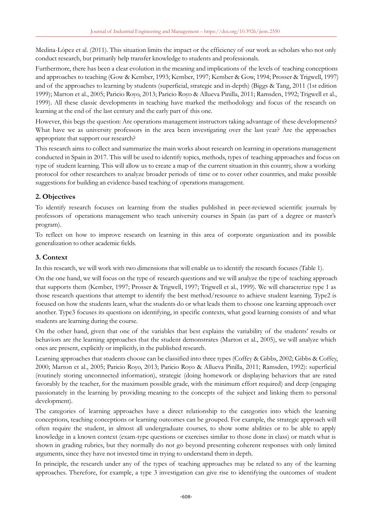Medina-López et al. (2011). This situation limits the impact or the efficiency of our work as scholars who not only conduct research, but primarily help transfer knowledge to students and professionals.

Furthermore, there has been a clear evolution in the meaning and implications of the levels of teaching conceptions and approaches to teaching (Gow & Kember, 1993; Kember, 1997; Kember & Gow, 1994; Prosser & Trigwell, 1997) and of the approaches to learning by students (superficial, strategic and in-depth) (Biggs & Tang, 2011 (1st edition 1999); Marton et al., 2005; Paricio Royo, 2013; Paricio Royo & Allueva Pinilla, 2011; Ramsden, 1992; Trigwell et al., 1999). All these classic developments in teaching have marked the methodology and focus of the research on learning at the end of the last century and the early part of this one.

However, this begs the question: Are operations management instructors taking advantage of these developments? What have we as university professors in the area been investigating over the last year? Are the approaches appropriate that support our research?

This research aims to collect and summarize the main works about research on learning in operations management conducted in Spain in 2017. This will be used to identify topics, methods, types of teaching approaches and focus on type of student learning. This will allow us to create a map of the current situation in this country, show a working protocol for other researchers to analyze broader periods of time or to cover other countries, and make possible suggestions for building an evidence-based teaching of operations management.

# **2. Objectives**

To identify research focuses on learning from the studies published in peer-reviewed scientific journals by professors of operations management who teach university courses in Spain (as part of a degree or master's program).

To reflect on how to improve research on learning in this area of corporate organization and its possible generalization to other academic fields.

## **3. Context**

In this research, we will work with two dimensions that will enable us to identify the research focuses (Table 1).

On the one hand, we will focus on the type of research questions and we will analyze the type of teaching approach that supports them (Kember, 1997; Prosser & Trigwell, 1997; Trigwell et al., 1999). We will characterize type 1 as those research questions that attempt to identify the best method/resource to achieve student learning. Type2 is focused on how the students learn, what the students do or what leads them to choose one learning approach over another. Type3 focuses its questions on identifying, in specific contexts, what good learning consists of and what students are learning during the course.

On the other hand, given that one of the variables that best explains the variability of the students' results or behaviors are the learning approaches that the student demonstrates (Marton et al., 2005), we will analyze which ones are present, explicitly or implicitly, in the published research.

Learning approaches that students choose can be classified into three types (Coffey & Gibbs, 2002; Gibbs & Coffey, 2000; Marton et al., 2005; Paricio Royo, 2013; Paricio Royo & Allueva Pinilla, 2011; Ramsden, 1992): superficial (routinely storing unconnected information), strategic (doing homework or displaying behaviors that are rated favorably by the teacher, for the maximum possible grade, with the minimum effort required) and deep (engaging passionately in the learning by providing meaning to the concepts of the subject and linking them to personal development).

The categories of learning approaches have a direct relationship to the categories into which the learning conceptions, teaching conceptions or learning outcomes can be grouped. For example, the strategic approach will often require the student, in almost all undergraduate courses, to show some abilities or to be able to apply knowledge in a known context (exam-type questions or exercises similar to those done in class) or match what is shown in grading rubrics, but they normally do not go beyond presenting coherent responses with only limited arguments, since they have not invested time in trying to understand them in depth.

In principle, the research under any of the types of teaching approaches may be related to any of the learning approaches. Therefore, for example, a type 3 investigation can give rise to identifying the outcomes of student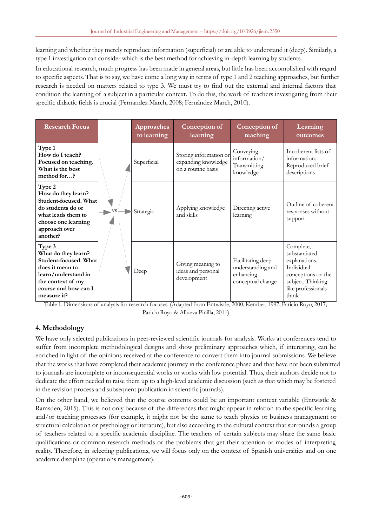learning and whether they merely reproduce information (superficial) or are able to understand it (deep). Similarly, a type 1 investigation can consider which is the best method for achieving in-depth learning by students.

In educational research, much progress has been made in general areas, but little has been accomplished with regard to specific aspects. That is to say, we have come a long way in terms of type 1 and 2 teaching approaches, but further research is needed on matters related to type 3. We must try to find out the external and internal factors that condition the learning of a subject in a particular context. To do this, the work of teachers investigating from their specific didactic fields is crucial (Fernandez March, 2008; Fernández March, 2010).

| <b>Research Focus</b>                                                                                                                                        |  | Approaches<br>to learning | Conception of<br>learning                                           | Conception of<br>teaching                                                | Learning<br>outcomes                                                                                                                |
|--------------------------------------------------------------------------------------------------------------------------------------------------------------|--|---------------------------|---------------------------------------------------------------------|--------------------------------------------------------------------------|-------------------------------------------------------------------------------------------------------------------------------------|
| Type 1<br>How do I teach?<br>Focused on teaching.<br>What is the best<br>method for?                                                                         |  | Superficial               | Storing information or<br>expanding knowledge<br>on a routine basis | Conveying<br>information/<br>Transmitting<br>knowledge                   | Incoherent lists of<br>information.<br>Reproduced brief<br>descriptions                                                             |
| Type 2<br>How do they learn?<br>Student-focused. What<br>do students do or<br>what leads them to<br>choose one learning<br>approach over<br>another?         |  | Strategic                 | Applying knowledge<br>and skills                                    | Directing active<br>learning                                             | Outline of coherent<br>responses without<br>support                                                                                 |
| Type 3<br>What do they learn?<br>Student-focused. What<br>does it mean to<br>learn/understand in<br>the context of my<br>course and how can I<br>measure it? |  | Deep                      | Giving meaning to<br>ideas and personal<br>development              | Facilitating deep<br>understanding and<br>enhancing<br>conceptual change | Complete,<br>substantiated<br>explanations.<br>Individual<br>conceptions on the<br>subject. Thinking<br>like professionals<br>think |

Table 1. Dimensions of analysis for research focuses. (Adapted from Entwistle, 2000; Kember, 1997; Paricio Royo, 2017; Paricio Royo & Allueva Pinilla, 2011)

# **4. Methodology**

We have only selected publications in peer-reviewed scientific journals for analysis. Works at conferences tend to suffer from incomplete methodological designs and show preliminary approaches which, if interesting, can be enriched in light of the opinions received at the conference to convert them into journal submissions. We believe that the works that have completed their academic journey in the conference phase and that have not been submitted to journals are incomplete or inconsequential works or works with low potential. Thus, their authors decide not to dedicate the effort needed to raise them up to a high-level academic discussion (such as that which may be fostered in the revision process and subsequent publication in scientific journals).

On the other hand, we believed that the course contents could be an important context variable (Entwistle & Ramsden, 2015). This is not only because of the differences that might appear in relation to the specific learning and/or teaching processes (for example, it might not be the same to teach physics or business management or structural calculation or psychology or literature), but also according to the cultural context that surrounds a group of teachers related to a specific academic discipline. The teachers of certain subjects may share the same basic qualifications or common research methods or the problems that get their attention or modes of interpreting reality. Therefore, in selecting publications, we will focus only on the context of Spanish universities and on one academic discipline (operations management).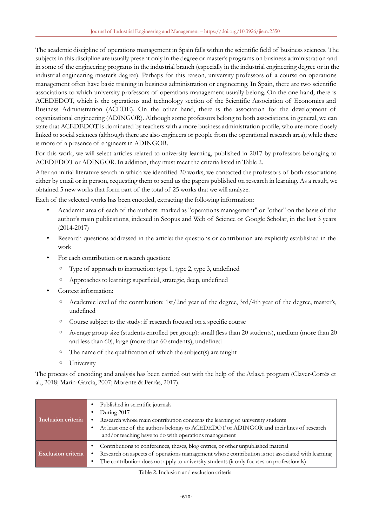The academic discipline of operations management in Spain falls within the scientific field of business sciences. The subjects in this discipline are usually present only in the degree or master's programs on business administration and in some of the engineering programs in the industrial branch (especially in the industrial engineering degree or in the industrial engineering master's degree). Perhaps for this reason, university professors of a course on operations management often have basic training in business administration or engineering. In Spain, there are two scientific associations to which university professors of operations management usually belong. On the one hand, there is ACEDEDOT, which is the operations and technology section of the Scientific Association of Economics and Business Administration (ACEDE). On the other hand, there is the association for the development of organizational engineering (ADINGOR). Although some professors belong to both associations, in general, we can state that ACEDEDOT is dominated by teachers with a more business administration profile, who are more closely linked to social sciences (although there are also engineers or people from the operational research area); while there is more of a presence of engineers in ADINGOR.

For this work, we will select articles related to university learning, published in 2017 by professors belonging to ACEDEDOT or ADINGOR. In addition, they must meet the criteria listed in Table 2.

After an initial literature search in which we identified 20 works, we contacted the professors of both associations either by email or in person, requesting them to send us the papers published on research in learning. As a result, we obtained 5 new works that form part of the total of 25 works that we will analyze.

Each of the selected works has been encoded, extracting the following information:

- Academic area of each of the authors: marked as "operations management" or "other" on the basis of the author's main publications, indexed in Scopus and Web of Science or Google Scholar, in the last 3 years (2014-2017)
- Research questions addressed in the article: the questions or contribution are explicitly established in the work
- For each contribution or research question:
	- Type of approach to instruction: type 1, type 2, type 3, undefined
	- Approaches to learning: superficial, strategic, deep, undefined
- Context information:
	- Academic level of the contribution: 1st/2nd year of the degree, 3rd/4th year of the degree, master's, undefined
	- Course subject to the study: if research focused on a specific course
	- Average group size (students enrolled per group): small (less than 20 students), medium (more than 20 and less than 60), large (more than 60 students), undefined
	- The name of the qualification of which the subject(s) are taught
	- University

The process of encoding and analysis has been carried out with the help of the Atlas.ti program (Claver-Cortés et al., 2018; Marin-Garcia, 2007; Morente & Ferràs, 2017).

| Inclusion criteria        | Published in scientific journals<br>During 2017<br>٠<br>Research whose main contribution concerns the learning of university students<br>At least one of the authors belongs to ACEDEDOT or ADINGOR and their lines of research<br>٠<br>and/or teaching have to do with operations management |
|---------------------------|-----------------------------------------------------------------------------------------------------------------------------------------------------------------------------------------------------------------------------------------------------------------------------------------------|
| <b>Exclusion criteria</b> | • Contributions to conferences, theses, blog entries, or other unpublished material<br>Research on aspects of operations management whose contribution is not associated with learning<br>The contribution does not apply to university students (it only focuses on professionals)<br>٠      |

Table 2. Inclusion and exclusion criteria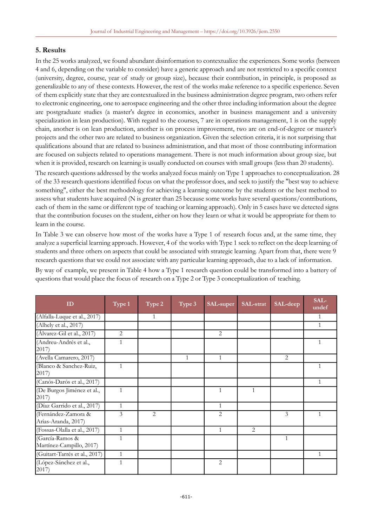### **5. Results**

In the 25 works analyzed, we found abundant disinformation to contextualize the experiences. Some works (between 4 and 6, depending on the variable to consider) have a generic approach and are not restricted to a specific context (university, degree, course, year of study or group size), because their contribution, in principle, is proposed as generalizable to any of these contexts. However, the rest of the works make reference to a specific experience. Seven of them explicitly state that they are contextualized in the business administration degree program, two others refer to electronic engineering, one to aerospace engineering and the other three including information about the degree are postgraduate studies (a master's degree in economics, another in business management and a university specialization in lean production). With regard to the courses, 7 are in operations management, 1 is on the supply chain, another is on lean production, another is on process improvement, two are on end-of-degree or master's projects and the other two are related to business organization. Given the selection criteria, it is not surprising that qualifications abound that are related to business administration, and that most of those contributing information are focused on subjects related to operations management. There is not much information about group size, but when it is provided, research on learning is usually conducted on courses with small groups (less than 20 students).

The research questions addressed by the works analyzed focus mainly on Type 1 approaches to conceptualization. 28 of the 33 research questions identified focus on what the professor does, and seek to justify the "best way to achieve something", either the best methodology for achieving a learning outcome by the students or the best method to assess what students have acquired (N is greater than 25 because some works have several questions/contributions, each of them in the same or different type of teaching or learning approach). Only in 5 cases have we detected signs that the contribution focuses on the student, either on how they learn or what it would be appropriate for them to learn in the course.

In Table 3 we can observe how most of the works have a Type 1 of research focus and, at the same time, they analyze a superficial learning approach. However, 4 of the works with Type 1 seek to reflect on the deep learning of students and three others on aspects that could be associated with strategic learning. Apart from that, there were 9 research questions that we could not associate with any particular learning approach, due to a lack of information.

By way of example, we present in Table 4 how a Type 1 research question could be transformed into a battery of questions that would place the focus of research on a Type 2 or Type 3 conceptualization of teaching.

| ID                                          | Type 1         | Type 2 | Type 3       | SAL-super      | SAL-strat    | SAL-deep       | SAL-<br>undef |
|---------------------------------------------|----------------|--------|--------------|----------------|--------------|----------------|---------------|
| (Alfalla-Luque et al., 2017)                |                | 1      |              |                |              |                | 1             |
| (Alhely et al., 2017)                       |                |        |              |                |              |                | $\mathbf{1}$  |
| (Álvarez-Gil et al., 2017)                  | $\overline{2}$ |        |              | 2              |              |                |               |
| (Andreu-Andrés et al.,<br>2017              | 1              |        |              |                |              |                | 1             |
| (Avella Camarero, 2017)                     |                |        | $\mathbf{1}$ | 1              |              | 2              |               |
| (Blanco & Sanchez-Ruiz,<br>2017)            | $\mathbf{1}$   |        |              |                |              |                | 1             |
| (Canós-Darós et al., 2017)                  |                |        |              |                |              |                | 1             |
| (De Burgos Jiménez et al.,<br>2017)         | $\mathbf{1}$   |        |              | $\mathbf{1}$   | $\mathbf{1}$ |                |               |
| (Díaz Garrido et al., 2017)                 | $\mathbf{1}$   |        |              | $\mathbf{1}$   |              |                |               |
| (Fernández-Zamora &<br>Arias-Aranda, 2017)  | 3              | 2      |              | $\overline{2}$ |              | $\mathfrak{Z}$ | 1             |
| (Fossas-Olalla et al., 2017)                | $\mathbf{1}$   |        |              | $\mathbf{1}$   | 2            |                |               |
| (García-Ramos &<br>Martínez-Campillo, 2017) | 1              |        |              |                |              | 1              |               |
| (Guitart-Tarrés et al., 2017)               | $\mathbf{1}$   |        |              |                |              |                | $\mathbf{1}$  |
| (López-Sánchez et al.,<br>2017)             | 1              |        |              | 2              |              |                |               |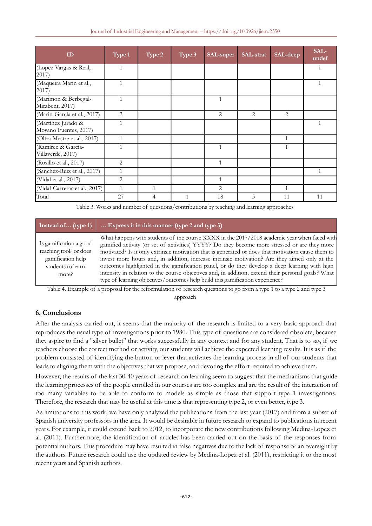| ID                                          | Type 1       | Type 2 | Type 3 | <b>SAL-super</b> | SAL-strat | SAL-deep       | SAL-<br>undef |
|---------------------------------------------|--------------|--------|--------|------------------|-----------|----------------|---------------|
| (Lopez Vargas & Real,<br>2017)              | $\mathbf{1}$ |        |        |                  |           |                | 1             |
| (Maqueira Marín et al.,<br>2017)            | $\mathbf{1}$ |        |        |                  |           |                | 1             |
| (Marimon & Berbegal-<br>Mirabent, 2017)     |              |        |        |                  |           |                |               |
| (Marin-Garcia et al., 2017)                 | 2            |        |        | 2                | 2         | $\overline{2}$ |               |
| (Martínez Jurado &<br>Moyano Fuentes, 2017) |              |        |        |                  |           |                |               |
| (Oltra Mestre et al., 2017)                 | $\mathbf{1}$ |        |        |                  |           | 1              |               |
| (Ramírez & García-<br>Villaverde, 2017)     | 1            |        |        | 1                |           | $\mathbf{1}$   |               |
| (Rosillo et al., 2017)                      | 2            |        |        | $\mathbf{1}$     |           |                |               |
| (Sanchez-Ruiz et al., 2017)                 | $\mathbf{1}$ |        |        |                  |           |                | $\mathbf{1}$  |
| (Vidal et al., 2017)                        | 2            |        |        | 1                |           |                |               |
| (Vidal-Carreras et al., 2017)               | $\mathbf{1}$ | 1      |        | 2                |           | $\mathbf{1}$   |               |
| Total                                       | 27           | 4      | 1      | 18               | 5         | 11             | 11            |

Table 3. Works and number of questions/contributions by teaching and learning approaches

| Instead of (type 1)                                                                                 | Express it in this manner (type 2 and type 3)                                                                                                                                                                                                                                                                                                                                                                                                                                                                                                                                                                                                                                              |
|-----------------------------------------------------------------------------------------------------|--------------------------------------------------------------------------------------------------------------------------------------------------------------------------------------------------------------------------------------------------------------------------------------------------------------------------------------------------------------------------------------------------------------------------------------------------------------------------------------------------------------------------------------------------------------------------------------------------------------------------------------------------------------------------------------------|
| Is gamification a good<br>teaching tool? or does<br>gamification help<br>students to learn<br>more? | What happens with students of the course XXXX in the 2017/2018 academic year when faced with<br>gamified activity (or set of activities) YYYY? Do they become more stressed or are they more<br>motivated? Is it only extrinsic motivation that is generated or does that motivation cause them to<br>invest more hours and, in addition, increase intrinsic motivation? Are they aimed only at the<br>outcomes highlighted in the gamification panel, or do they develop a deep learning with high<br>intensity in relation to the course objectives and, in addition, extend their personal goals? What<br>type of learning objectives/outcomes help build this gamification experience? |

Table 4. Example of a proposal for the reformulation of research questions to go from a type 1 to a type 2 and type 3 approach

# **6. Conclusions**

After the analysis carried out, it seems that the majority of the research is limited to a very basic approach that reproduces the usual type of investigations prior to 1980. This type of questions are considered obsolete, because they aspire to find a "silver bullet" that works successfully in any context and for any student. That is to say, if we teachers choose the correct method or activity, our students will achieve the expected learning results. It is as if the problem consisted of identifying the button or lever that activates the learning process in all of our students that leads to aligning them with the objectives that we propose, and devoting the effort required to achieve them.

However, the results of the last 30-40 years of research on learning seem to suggest that the mechanisms that guide the learning processes of the people enrolled in our courses are too complex and are the result of the interaction of too many variables to be able to conform to models as simple as those that support type 1 investigations. Therefore, the research that may be useful at this time is that representing type 2, or even better, type 3.

As limitations to this work, we have only analyzed the publications from the last year (2017) and from a subset of Spanish university professors in the area. It would be desirable in future research to expand to publications in recent years. For example, it could extend back to 2012, to incorporate the new contributions following Medina-Lopez et al. (2011). Furthermore, the identification of articles has been carried out on the basis of the responses from potential authors. This procedure may have resulted in false negatives due to the lack of response or an oversight by the authors. Future research could use the updated review by Medina-Lopez et al. (2011), restricting it to the most recent years and Spanish authors.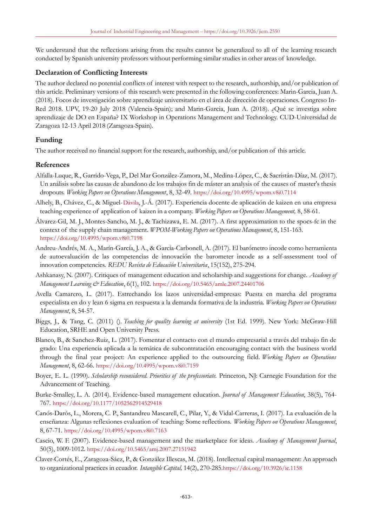We understand that the reflections arising from the results cannot be generalized to all of the learning research conducted by Spanish university professors without performing similar studies in other areas of knowledge.

## **Declaration of Conflicting Interests**

The author declared no potential conflicts of interest with respect to the research, authorship, and/or publication of this article. Preliminary versions of this research were presented in the following conferences: Marin-Garcia, Juan A. (2018). Focos de investigación sobre aprendizaje universitario en el área de dirección de operaciones. Congreso In-Red 2018. UPV, 19-20 July 2018 (Valencia-Spain); and Marin-Garcia, Juan A. (2018). ¿Qué se investiga sobre aprendizaje de DO en España? IX Workshop in Operations Management and Technology. CUD-Universidad de Zaragoza 12-13 April 2018 (Zaragoza-Spain).

## **Funding**

The author received no financial support for the research, authorship, and/or publication of this article.

### **References**

- Alfalla-Luque, R., Garrido-Vega, P., Del Mar González-Zamora, M., Medina-López, C., & Sacristán-Díaz, M. (2017). Un análisis sobre las causas de abandono de los trabajos fin de máster an analysis of the causes of master's thesis dropouts. *Working Papers on Operations Management*, 8, 32-49. <https://doi.org/10.4995/wpom.v8i0.7114>
- Alhely, B., Chávez, C., & Miguel-Dávila, J.-Á. (2017). Experiencia docente de aplicación de kaizen en una empresa teaching experience of application of kaizen in a company. *Working Papers on Operations Management,* 8, 58-61.
- Álvarez-Gil, M. J., Montes-Sancho, M. J., & Tachizawa, E. M. (2017). A first approximation to the spocs-fc in the context of the supply chain management. *WPOM-Working Papers on Operations Management*, 8, 151-163. <https://doi.org/10.4995/wpom.v8i0.7198>
- Andreu-Andrés, M. A., Marín-García, J. A., & García-Carbonell, A. (2017). El barómetro incode como herramienta de autoevaluación de las competencias de innovación the barometer incode as a self-assessment tool of innovation competencies. *REDU Revista de Educación Universitaria*, 15(152), 275-294.
- Ashkanasy, N. (2007). Critiques of management education and scholarship and suggestions for change. *Academy of Management Learning & Education*, 6(1), 102. <https://doi.org/10.5465/amle.2007.24401706>
- Avella Camarero, L. (2017). Estrechando los lazos universidad-empresas: Puesta en marcha del programa especialista en do y lean 6 sigma en respuesta a la demanda formativa de la industria. *Working Papers on Operations Management*, 8, 54-57.
- Biggs, J., & Tang, C. (2011) (). *Teaching for quality learning at university* (1st Ed. 1999). New York: McGraw-Hill Education, SRHE and Open University Press.
- Blanco, B., & Sanchez-Ruiz, L. (2017). Fomentar el contacto con el mundo empresarial a través del trabajo fin de grado: Una experiencia aplicada a la temática de subcontratación encouraging contact with the business world through the final year project: An experience applied to the outsourcing field. *Working Papers on Operations Management*, 8, 62-66. <https://doi.org/10.4995/wpom.v8i0.7159>
- Boyer, E. L. (1990). *Scholarship reconsidered. Priorities of the professoriate.* Princeton, NJ: Carnegie Foundation for the Advancement of Teaching.
- Burke-Smalley, L. A. (2014). Evidence-based management education. *Journal of Management Education*, 38(5), 764- 767. <https://doi.org/10.1177/1052562914529418>
- Canós-Darós, L., Morera, C. P., Santandreu Mascarell, C., Pilar, Y., & Vidal-Carreras, I. (2017). La evaluación de la enseñanza: Algunas reflexiones evaluation of teaching: Some reflections. *Working Papers on Operations Management*, 8, 67-71. <https://doi.org/10.4995/wpom.v8i0.7163>
- Cascio, W. F. (2007). Evidence-based management and the marketplace for ideas. *Academy of Management Journal*, 50(5), 1009-1012. <https://doi.org/10.5465/amj.2007.27151942>
- Claver-Cortés, E., Zaragoza-Sáez, P., & González Illescas, M. (2018). Intellectual capital management: An approach to organizational practices in ecuador. *Intangible Capital,* 14(2), 270-285.<https://doi.org/10.3926/ic.1158>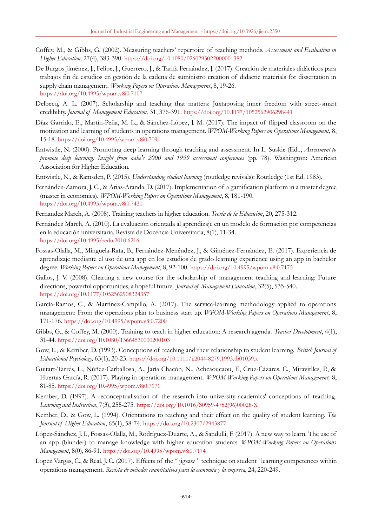- Coffey, M., & Gibbs, G. (2002). Measuring teachers' repertoire of teaching methods. *Assessment and Evaluation in Higher Education,* 27(4), 383-390. <https://doi.org/10.1080/0260293022000001382>
- De Burgos Jiménez, J., Felipe, J., Guerrero, J., & Tarifa Fernández, J. (2017). Creación de materiales didácticos para trabajos fin de estudios en gestión de la cadena de suministro creation of didactic materials for dissertation in supply chain management. *Working Papers on Operations Management*, 8, 19-26. <https://doi.org/10.4995/wpom.v8i0.7107>
- Delbecq, A. L. (2007). Scholarship and teaching that matters: Juxtaposing inner freedom with street-smart credibility. *Journal of Management Education*, 31, 376-391. <https://doi.org/10.1177/1052562906298441>
- Díaz Garrido, E., Martín-Peña, M. L., & Sánchez-López, J. M. (2017). The impact of flipped classroom on the motivation and learning of students in operations management. *WPOM-Working Papers on Operations Management,* 8, 15-18. <https://doi.org/10.4995/wpom.v8i0.7091>
- Entwistle, N. (2000). Promoting deep learning through teaching and assessment. In L. Suskie (Ed.., *Assessment to promote deep learning: Insight from aahe's 2000 and 1999 assessment conferences* (pp. 78). Washington: American Association for Higher Education.
- Entwistle, N., & Ramsden, P. (2015). *Understanding student learning* (routledge revivals): Routledge (1st Ed. 1983).
- Fernández-Zamora, J. C., & Arias-Aranda, D. (2017). Implementation of a gamification platform in a master degree (master in economics). *WPOM-Working Papers on Operations Management*, 8, 181-190. <https://doi.org/10.4995/wpom.v8i0.7431>
- Fernandez March, A. (2008). Training teachers in higher education. *Teoría de la Educación*, 20, 275-312.
- Fernández March, A. (2010). La evaluación orientada al aprendizaje en un modelo de formación por competencias en la educación universitaria. Revista de Docencia Universitaria, 8(1), 11-34. <https://doi.org/10.4995/redu.2010.6216>
- Fossas-Olalla, M., Minguela-Rata, B., Fernández-Menéndez, J., & Giménez-Fernández, E. (2017). Experiencia de aprendizaje mediante el uso de una app en los estudios de grado learning experience using an app in bachelor degree. *Working Papers on Operations Management*, 8, 92-100. <https://doi.org/10.4995/wpom.v8i0.7175>
- Gallos, J. V. (2008). Charting a new course for the scholarship of management teaching and learning: Future directions, powerful opportunities, a hopeful future. *Journal of Management Education*, 32(5), 535-540. <https://doi.org/10.1177/1052562908324357>
- García-Ramos, C., & Martínez-Campillo, A. (2017). The service-learning methodology applied to operations management: From the operations plan to business start up. *WPOM-Working Papers on Operations Management*, 8, 171-176. <https://doi.org/10.4995/wpom.v8i0.7200>
- Gibbs, G., & Coffey, M. (2000). Training to teach in higher education: A research agenda. *Teacher Development*, 4(1), 31-44. <https://doi.org/10.1080/13664530000200103>
- Gow, L., & Kember, D. (1993). Conceptions of teaching and their relationship to student learning. *British Journal of Educational Psychology,* 63(1), 20-23. <https://doi.org/10.1111/j.2044-8279.1993.tb01039.x>
- Guitart-Tarrés, L., Núñez-Carballosa, A., Jaría Chacón, N., Achcaoucaou, F., Cruz-Cázares, C., Miravitlles, P., & Huertas García, R. (2017). Playing in operations management. *WPOM-Working Papers on Operations Management,* 8, 81-85. <https://doi.org/10.4995/wpom.v8i0.7171>
- Kember, D. (1997). A reconceptualisation of the research into university academics' conceptions of teaching. *Learning and Instruction*, 7(3), 255-275. [https://doi.org/10.1016/S0959-4752\(96\)00028-X](https://doi.org/10.1016/S0959-4752(96)00028-X)
- Kember, D., & Gow, L. (1994). Orientations to teaching and their effect on the quality of student learning. *The Journal of Higher Education*, 65(1), 58-74. <https://doi.org/10.2307/2943877>
- López-Sánchez, J. I., Fossas-Olalla, M., Rodríguez-Duarte, A., & Sandulli, F. (2017). A new way to learn. The use of an app (blunder) to manage knowledge with higher education students. *WPOM-Working Papers on Operations Management*, 8(0), 86-91. <https://doi.org/10.4995/wpom.v8i0.7174>
- Lopez Vargas, C., & Real, J. C. (2017). Effects of the "iigsaw" technique on student ' learning competences within operations management. *Revista de métodos cuantitativos para la economía y la empresa*, 24, 220-249.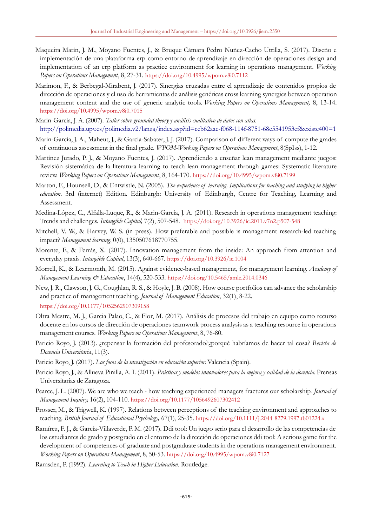- Maqueira Marín, J. M., Moyano Fuentes, J., & Bruque Cámara Pedro Nuñez-Cacho Utrilla, S. (2017). Diseño e implementación de una plataforma erp como entorno de aprendizaje en dirección de operaciones design and implementation of an erp platform as practice environment for learning in operations management. *Working Papers on Operations Management*, 8, 27-31. <https://doi.org/10.4995/wpom.v8i0.7112>
- Marimon, F., & Berbegal-Mirabent, J. (2017). Sinergias cruzadas entre el aprendizaje de contenidos propios de dirección de operaciones y el uso de herramientas de análisis genéricas cross learning synergies between operation management content and the use of generic analytic tools. *Working Papers on Operations Management,* 8, 13-14. <https://doi.org/10.4995/wpom.v8i0.7015>
- Marin-Garcia, J. A. (2007). *Taller sobre grounded theory y análisis cualitativo de datos con atlas.* <http://polimedia.upv.es/polimedia.v2/lanza/index.asp?id=ceb62aae-f068-114f-8751-68e5541953ef&existe400=1>
- Marin-Garcia, J. A., Maheut, J., & Garcia-Sabater, J. J. (2017). Comparison of different ways of compute the grades of continuous assessment in the final grade. *WPOM-Working Papers on Operations Management*, 8(SpIss), 1-12.
- Martínez Jurado, P. J., & Moyano Fuentes, J. (2017). Aprendiendo a enseñar lean management mediante juegos: Revisión sistemática de la literatura learning to teach lean management through games: Systematic literature review. *Working Papers on Operations Management*, 8, 164-170. <https://doi.org/10.4995/wpom.v8i0.7199>
- Marton, F., Hounsell, D., & Entwistle, N. (2005). *The experience of learning. Implications for teaching and studying in higher education*. 3rd (internet) Edition. Edinburgh: University of Edinburgh, Centre for Teaching, Learning and Assessment.
- Medina-López, C., Alfalla-Luque, R., & Marin-Garcia, J. A. (2011). Research in operations management teaching: Trends and challenges. *Intangible Capital,* 7(2), 507-548. <https://doi.org/10.3926/ic.2011.v7n2.p507-548>
- Mitchell, V. W., & Harvey, W. S. (in press). How preferable and possible is management research-led teaching impact? *Management learning*, 0(0), 1350507618770755.
- Morente, F., & Ferràs, X. (2017). Innovation management from the inside: An approach from attention and everyday praxis. *Intangible Capital*, 13(3), 640-667. <https://doi.org/10.3926/ic.1004>
- Morrell, K., & Learmonth, M. (2015). Against evidence-based management, for management learning. *Academy of Management Learning & Education*, 14(4), 520-533. <https://doi.org/10.5465/amle.2014.0346>
- New, J. R., Clawson, J. G., Coughlan, R. S., & Hoyle, J. B. (2008). How course portfolios can advance the scholarship and practice of management teaching. *Journal of Management Education*, 32(1), 8-22. <https://doi.org/10.1177/1052562907309158>
- Oltra Mestre, M. J., Garcia Palao, C., & Flor, M. (2017). Análisis de procesos del trabajo en equipo como recurso docente en los cursos de dirección de operaciones teamwork process analysis as a teaching resource in operations management courses. *Working Papers on Operations Management*, 8, 76-80.
- Paricio Royo, J. (2013). ¿repensar la formación del profesorado?¿porqué habríamos de hacer tal cosa? *Revista de Docencia Universitaria*, 11(3).
- Paricio Royo, J. (2017). *Los focos de la investigación en educación superior.* Valencia (Spain).
- Paricio Royo, J., & Allueva Pinilla, A. I. (2011). *Prácticas y modelos innovadores para la mejora y calidad de la docencia.* Prensas Universitarias de Zaragoza.
- Pearce, J. L. (2007). We are who we teach how teaching experienced managers fractures our scholarship. *Journal of Management Inquiry,* 16(2), 104-110. <https://doi.org/10.1177/1056492607302412>
- Prosser, M., & Trigwell, K. (1997). Relations between perceptions of the teaching environment and approaches to teaching. *British Journal of Educational Psychology,* 67(1), 25-35. <https://doi.org/10.1111/j.2044-8279.1997.tb01224.x>
- Ramírez, F. J., & García-Villaverde, P. M. (2017). Ddi tool: Un juego serio para el desarrollo de las competencias de los estudiantes de grado y postgrado en el entorno de la dirección de operaciones ddi tool: A serious game for the development of competences of graduate and postgraduate students in the operations management environment. *Working Papers on Operations Management*, 8, 50-53. <https://doi.org/10.4995/wpom.v8i0.7127>
- Ramsden, P. (1992). *Learning to Teach in Higher Education.* Routledge.